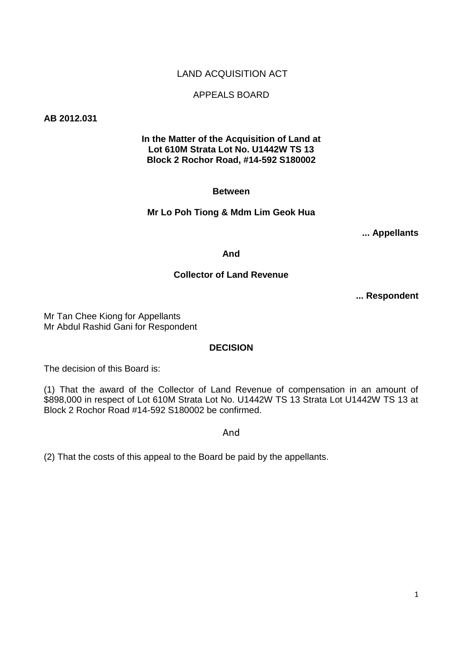### LAND ACQUISITION ACT

#### APPEALS BOARD

**AB 2012.031**

#### **In the Matter of the Acquisition of Land at Lot 610M Strata Lot No. U1442W TS 13 Block 2 Rochor Road, #14-592 S180002**

#### **Between**

#### **Mr Lo Poh Tiong & Mdm Lim Geok Hua**

**... Appellants**

**And** 

#### **Collector of Land Revenue**

**... Respondent** 

Mr Tan Chee Kiong for Appellants Mr Abdul Rashid Gani for Respondent

#### **DECISION**

The decision of this Board is:

(1) That the award of the Collector of Land Revenue of compensation in an amount of \$898,000 in respect of Lot 610M Strata Lot No. U1442W TS 13 Strata Lot U1442W TS 13 at Block 2 Rochor Road #14-592 S180002 be confirmed.

And

(2) That the costs of this appeal to the Board be paid by the appellants.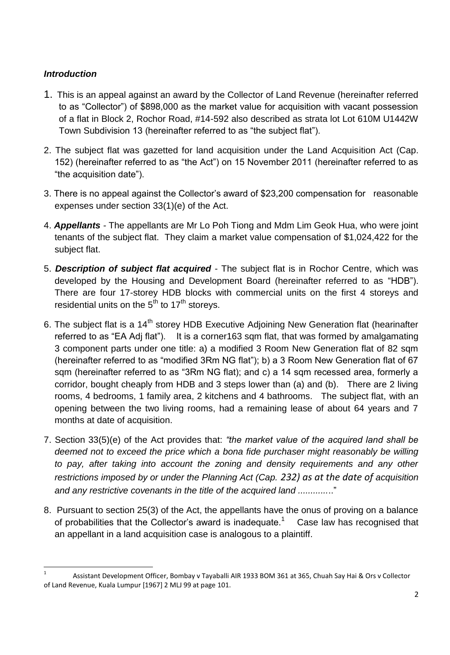## *Introduction*

**.** 

- 1. This is an appeal against an award by the Collector of Land Revenue (hereinafter referred to as "Collector") of \$898,000 as the market value for acquisition with vacant possession of a flat in Block 2, Rochor Road, #14-592 also described as strata lot Lot 610M U1442W Town Subdivision 13 (hereinafter referred to as "the subject flat").
- 2. The subject flat was gazetted for land acquisition under the Land Acquisition Act (Cap. 152) (hereinafter referred to as "the Act") on 15 November 2011 (hereinafter referred to as "the acquisition date").
- 3. There is no appeal against the Collector's award of \$23,200 compensation for reasonable expenses under section 33(1)(e) of the Act.
- 4. *Appellants -* The appellants are Mr Lo Poh Tiong and Mdm Lim Geok Hua, who were joint tenants of the subject flat. They claim a market value compensation of \$1,024,422 for the subject flat.
- 5. *Description of subject flat acquired* The subject flat is in Rochor Centre, which was developed by the Housing and Development Board (hereinafter referred to as "HDB"). There are four 17-storey HDB blocks with commercial units on the first 4 storeys and residential units on the  $5<sup>th</sup>$  to 17<sup>th</sup> storeys.
- 6. The subject flat is a 14<sup>th</sup> storey HDB Executive Adjoining New Generation flat (hearinafter referred to as "EA Adj flat"). It is a corner163 sqm flat, that was formed by amalgamating 3 component parts under one title: a) a modified 3 Room New Generation flat of 82 sqm (hereinafter referred to as "modified 3Rm NG flat"); b) a 3 Room New Generation flat of 67 sqm (hereinafter referred to as "3Rm NG flat); and c) a 14 sqm recessed area, formerly a corridor, bought cheaply from HDB and 3 steps lower than (a) and (b). There are 2 living rooms, 4 bedrooms, 1 family area, 2 kitchens and 4 bathrooms. The subject flat, with an opening between the two living rooms, had a remaining lease of about 64 years and 7 months at date of acquisition.
- 7. Section 33(5)(e) of the Act provides that: *"the market value of the acquired land shall be deemed not to exceed the price which a bona fide purchaser might reasonably be willing to pay, after taking into account the zoning and density requirements and any other restrictions imposed by or under the Planning Act (Cap. 232) as at the date of acquisition and any restrictive covenants in the title of the acquired land ............*.."
- 8. Pursuant to section 25(3) of the Act, the appellants have the onus of proving on a balance of probabilities that the Collector's award is inadequate.<sup>1</sup> Case law has recognised that an appellant in a land acquisition case is analogous to a plaintiff.

<sup>1</sup> Assistant Development Officer, Bombay v Tayaballi AIR 1933 BOM 361 at 365, Chuah Say Hai & Ors v Collector of Land Revenue, Kuala Lumpur [1967] 2 MLJ 99 at page 101.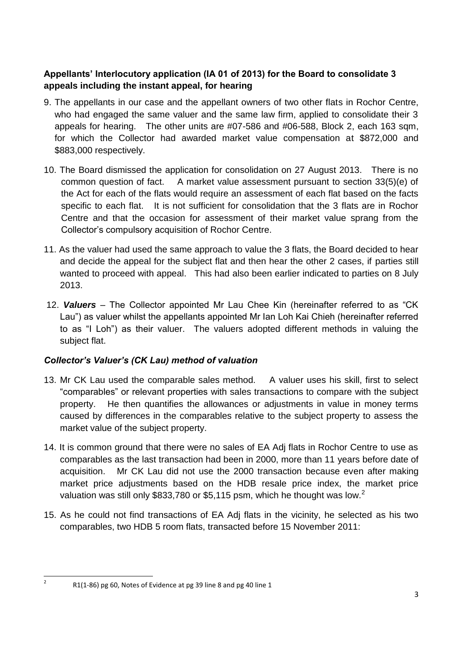## **Appellants' Interlocutory application (IA 01 of 2013) for the Board to consolidate 3 appeals including the instant appeal, for hearing**

- 9. The appellants in our case and the appellant owners of two other flats in Rochor Centre, who had engaged the same valuer and the same law firm, applied to consolidate their 3 appeals for hearing. The other units are #07-586 and #06-588, Block 2, each 163 sqm, for which the Collector had awarded market value compensation at \$872,000 and \$883,000 respectively.
- 10. The Board dismissed the application for consolidation on 27 August 2013. There is no common question of fact. A market value assessment pursuant to section 33(5)(e) of the Act for each of the flats would require an assessment of each flat based on the facts specific to each flat. It is not sufficient for consolidation that the 3 flats are in Rochor Centre and that the occasion for assessment of their market value sprang from the Collector's compulsory acquisition of Rochor Centre.
- 11. As the valuer had used the same approach to value the 3 flats, the Board decided to hear and decide the appeal for the subject flat and then hear the other 2 cases, if parties still wanted to proceed with appeal. This had also been earlier indicated to parties on 8 July 2013.
- 12. *Valuers –* The Collector appointed Mr Lau Chee Kin (hereinafter referred to as "CK Lau") as valuer whilst the appellants appointed Mr Ian Loh Kai Chieh (hereinafter referred to as "I Loh") as their valuer. The valuers adopted different methods in valuing the subject flat.

# *Collector's Valuer's (CK Lau) method of valuation*

- 13. Mr CK Lau used the comparable sales method. A valuer uses his skill, first to select "comparables" or relevant properties with sales transactions to compare with the subject property. He then quantifies the allowances or adjustments in value in money terms caused by differences in the comparables relative to the subject property to assess the market value of the subject property.
- 14. It is common ground that there were no sales of EA Adj flats in Rochor Centre to use as comparables as the last transaction had been in 2000, more than 11 years before date of acquisition. Mr CK Lau did not use the 2000 transaction because even after making market price adjustments based on the HDB resale price index, the market price valuation was still only \$833,780 or \$5,115 psm, which he thought was low.<sup>2</sup>
- 15. As he could not find transactions of EA Adj flats in the vicinity, he selected as his two comparables, two HDB 5 room flats, transacted before 15 November 2011:

 $\frac{1}{2}$ 

R1(1-86) pg 60, Notes of Evidence at pg 39 line 8 and pg 40 line 1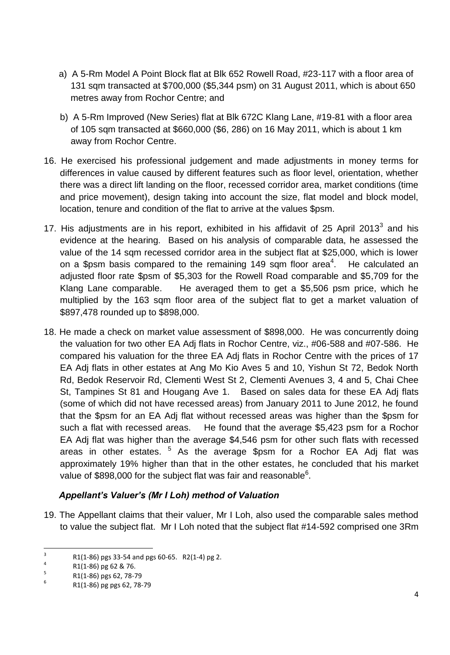- a) A 5-Rm Model A Point Block flat at Blk 652 Rowell Road, #23-117 with a floor area of 131 sqm transacted at \$700,000 (\$5,344 psm) on 31 August 2011, which is about 650 metres away from Rochor Centre; and
- b) A 5-Rm Improved (New Series) flat at Blk 672C Klang Lane, #19-81 with a floor area of 105 sqm transacted at \$660,000 (\$6, 286) on 16 May 2011, which is about 1 km away from Rochor Centre.
- 16. He exercised his professional judgement and made adjustments in money terms for differences in value caused by different features such as floor level, orientation, whether there was a direct lift landing on the floor, recessed corridor area, market conditions (time and price movement), design taking into account the size, flat model and block model, location, tenure and condition of the flat to arrive at the values \$psm.
- 17. His adjustments are in his report, exhibited in his affidavit of 25 April 2013 $^3$  and his evidence at the hearing. Based on his analysis of comparable data, he assessed the value of the 14 sqm recessed corridor area in the subject flat at \$25,000, which is lower on a \$psm basis compared to the remaining 149 sqm floor area<sup>4</sup>. He calculated an adjusted floor rate \$psm of \$5,303 for the Rowell Road comparable and \$5,709 for the Klang Lane comparable. He averaged them to get a \$5,506 psm price, which he multiplied by the 163 sqm floor area of the subject flat to get a market valuation of \$897,478 rounded up to \$898,000.
- 18. He made a check on market value assessment of \$898,000. He was concurrently doing the valuation for two other EA Adj flats in Rochor Centre, viz., #06-588 and #07-586. He compared his valuation for the three EA Adj flats in Rochor Centre with the prices of 17 EA Adj flats in other estates at Ang Mo Kio Aves 5 and 10, Yishun St 72, Bedok North Rd, Bedok Reservoir Rd, Clementi West St 2, Clementi Avenues 3, 4 and 5, Chai Chee St, Tampines St 81 and Hougang Ave 1. Based on sales data for these EA Adj flats (some of which did not have recessed areas) from January 2011 to June 2012, he found that the \$psm for an EA Adj flat without recessed areas was higher than the \$psm for such a flat with recessed areas. He found that the average \$5,423 psm for a Rochor EA Adj flat was higher than the average \$4,546 psm for other such flats with recessed areas in other estates. <sup>5</sup> As the average \$psm for a Rochor EA Adj flat was approximately 19% higher than that in the other estates, he concluded that his market value of \$898,000 for the subject flat was fair and reasonable<sup>6</sup>.

## *Appellant's Valuer's (Mr I Loh) method of Valuation*

19. The Appellant claims that their valuer, Mr I Loh, also used the comparable sales method to value the subject flat. Mr I Loh noted that the subject flat #14-592 comprised one 3Rm

 $\frac{1}{3}$ R1(1-86) pgs 33-54 and pgs 60-65. R2(1-4) pg 2.

<sup>4</sup> R1(1-86) pg 62 & 76.

<sup>5</sup> R1(1-86) pgs 62, 78-79

<sup>6</sup> R1(1-86) pg pgs 62, 78-79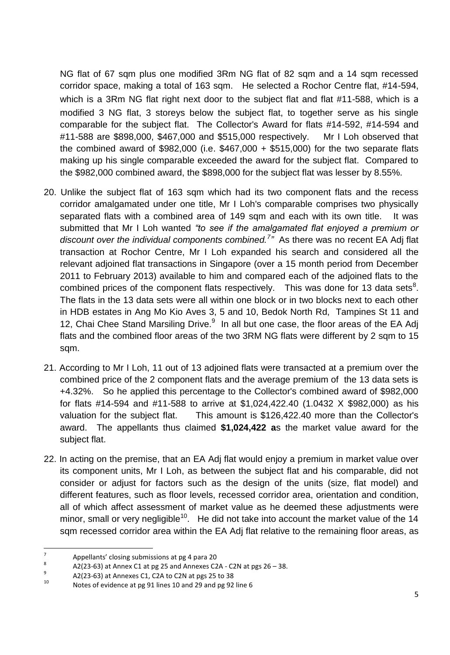NG flat of 67 sqm plus one modified 3Rm NG flat of 82 sqm and a 14 sqm recessed corridor space, making a total of 163 sqm. He selected a Rochor Centre flat, #14-594, which is a 3Rm NG flat right next door to the subject flat and flat #11-588, which is a modified 3 NG flat, 3 storeys below the subject flat, to together serve as his single comparable for the subject flat. The Collector's Award for flats #14-592, #14-594 and #11-588 are \$898,000, \$467,000 and \$515,000 respectively. Mr I Loh observed that the combined award of  $$982,000$  (i.e.  $$467,000 + $515,000$ ) for the two separate flats making up his single comparable exceeded the award for the subject flat. Compared to the \$982,000 combined award, the \$898,000 for the subject flat was lesser by 8.55%.

- 20. Unlike the subject flat of 163 sqm which had its two component flats and the recess corridor amalgamated under one title, Mr I Loh's comparable comprises two physically separated flats with a combined area of 149 sqm and each with its own title. It was submitted that Mr I Loh wanted *"to see if the amalgamated flat enjoyed a premium or discount over the individual components combined.<sup>7</sup> "* As there was no recent EA Adj flat transaction at Rochor Centre, Mr I Loh expanded his search and considered all the relevant adjoined flat transactions in Singapore (over a 15 month period from December 2011 to February 2013) available to him and compared each of the adjoined flats to the combined prices of the component flats respectively. This was done for 13 data sets $8$ . The flats in the 13 data sets were all within one block or in two blocks next to each other in HDB estates in Ang Mo Kio Aves 3, 5 and 10, Bedok North Rd, Tampines St 11 and 12, Chai Chee Stand Marsiling Drive.<sup>9</sup> In all but one case, the floor areas of the EA Adj flats and the combined floor areas of the two 3RM NG flats were different by 2 sqm to 15 sqm.
- 21. According to Mr I Loh, 11 out of 13 adjoined flats were transacted at a premium over the combined price of the 2 component flats and the average premium of the 13 data sets is +4.32%. So he applied this percentage to the Collector's combined award of \$982,000 for flats #14-594 and #11-588 to arrive at \$1,024,422.40 (1.0432 X \$982,000) as his valuation for the subject flat. This amount is \$126,422.40 more than the Collector's award. The appellants thus claimed **\$1,024,422 a**s the market value award for the subject flat.
- 22. In acting on the premise, that an EA Adj flat would enjoy a premium in market value over its component units, Mr I Loh, as between the subject flat and his comparable, did not consider or adjust for factors such as the design of the units (size, flat model) and different features, such as floor levels, recessed corridor area, orientation and condition, all of which affect assessment of market value as he deemed these adjustments were minor, small or very negligible<sup>10</sup>. He did not take into account the market value of the 14 sqm recessed corridor area within the EA Adj flat relative to the remaining floor areas, as

<sup>–&</sup>lt;br>7 Appellants' closing submissions at pg 4 para 20

<sup>8</sup> A2(23-63) at Annex C1 at pg 25 and Annexes C2A - C2N at pgs 26 – 38.

<sup>9</sup> A2(23-63) at Annexes C1, C2A to C2N at pgs 25 to 38

<sup>10</sup> Notes of evidence at pg 91 lines 10 and 29 and pg 92 line 6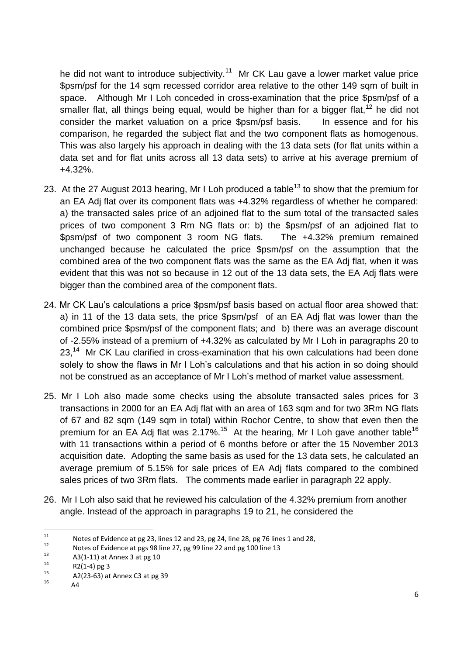he did not want to introduce subjectivity.<sup>11</sup> Mr CK Lau gave a lower market value price \$psm/psf for the 14 sqm recessed corridor area relative to the other 149 sqm of built in space. Although Mr I Loh conceded in cross-examination that the price \$psm/psf of a smaller flat, all things being equal, would be higher than for a bigger flat,  $12$  he did not consider the market valuation on a price \$psm/psf basis. In essence and for his comparison, he regarded the subject flat and the two component flats as homogenous. This was also largely his approach in dealing with the 13 data sets (for flat units within a data set and for flat units across all 13 data sets) to arrive at his average premium of +4.32%.

- 23. At the 27 August 2013 hearing, Mr I Loh produced a table<sup>13</sup> to show that the premium for an EA Adj flat over its component flats was +4.32% regardless of whether he compared: a) the transacted sales price of an adjoined flat to the sum total of the transacted sales prices of two component 3 Rm NG flats or: b) the \$psm/psf of an adjoined flat to \$psm/psf of two component 3 room NG flats. The +4.32% premium remained unchanged because he calculated the price \$psm/psf on the assumption that the combined area of the two component flats was the same as the EA Adj flat, when it was evident that this was not so because in 12 out of the 13 data sets, the EA Adj flats were bigger than the combined area of the component flats.
- 24. Mr CK Lau's calculations a price \$psm/psf basis based on actual floor area showed that: a) in 11 of the 13 data sets, the price \$psm/psf of an EA Adj flat was lower than the combined price \$psm/psf of the component flats; and b) there was an average discount of -2.55% instead of a premium of +4.32% as calculated by Mr I Loh in paragraphs 20 to 23,<sup>14</sup> Mr CK Lau clarified in cross-examination that his own calculations had been done solely to show the flaws in Mr I Loh's calculations and that his action in so doing should not be construed as an acceptance of Mr I Loh's method of market value assessment.
- 25. Mr I Loh also made some checks using the absolute transacted sales prices for 3 transactions in 2000 for an EA Adj flat with an area of 163 sqm and for two 3Rm NG flats of 67 and 82 sqm (149 sqm in total) within Rochor Centre, to show that even then the premium for an EA Adj flat was 2.17%.<sup>15</sup> At the hearing, Mr I Loh gave another table<sup>16</sup> with 11 transactions within a period of 6 months before or after the 15 November 2013 acquisition date. Adopting the same basis as used for the 13 data sets, he calculated an average premium of 5.15% for sale prices of EA Adj flats compared to the combined sales prices of two 3Rm flats. The comments made earlier in paragraph 22 apply.
- 26. Mr I Loh also said that he reviewed his calculation of the 4.32% premium from another angle. Instead of the approach in paragraphs 19 to 21, he considered the

 $11$ <sup>11</sup> Notes of Evidence at pg 23, lines 12 and 23, pg 24, line 28, pg 76 lines 1 and 28,<br>1<sup>2</sup> Meteor of Evidence at nex 09 line 27, no 09 line 22 and no 109 line 12

<sup>&</sup>lt;sup>12</sup> Notes of Evidence at pgs 98 line 27, pg 99 line 22 and pg 100 line 13<br>1<sup>3</sup>

 $13$  A3(1-11) at Annex 3 at pg 10

<sup>&</sup>lt;sup>14</sup> R2(1-4) pg 3

 $^{15}$  A2(23-63) at Annex C3 at pg 39

A4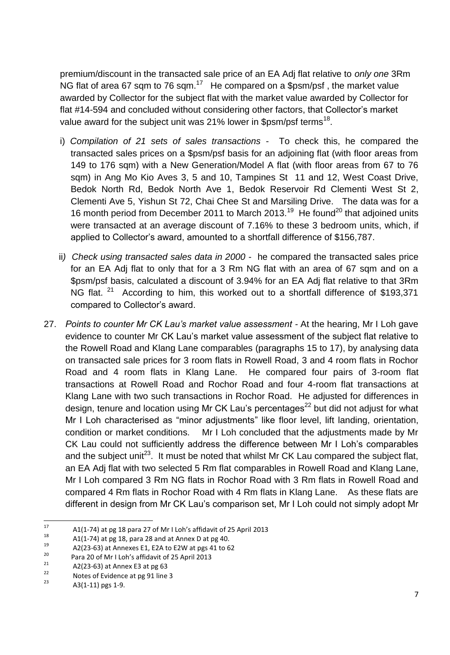premium/discount in the transacted sale price of an EA Adj flat relative to *only one* 3Rm NG flat of area 67 sqm to 76 sqm.<sup>17</sup> He compared on a \$psm/psf, the market value awarded by Collector for the subject flat with the market value awarded by Collector for flat #14-594 and concluded without considering other factors, that Collector's market value award for the subject unit was 21% lower in \$psm/psf terms<sup>18</sup>.

- i) *Compilation of 21 sets of sales transactions* To check this, he compared the transacted sales prices on a \$psm/psf basis for an adjoining flat (with floor areas from 149 to 176 sqm) with a New Generation/Model A flat (with floor areas from 67 to 76 sqm) in Ang Mo Kio Aves 3, 5 and 10, Tampines St 11 and 12, West Coast Drive, Bedok North Rd, Bedok North Ave 1, Bedok Reservoir Rd Clementi West St 2, Clementi Ave 5, Yishun St 72, Chai Chee St and Marsiling Drive. The data was for a 16 month period from December 2011 to March 2013.<sup>19</sup> He found<sup>20</sup> that adjoined units were transacted at an average discount of 7.16% to these 3 bedroom units, which, if applied to Collector's award, amounted to a shortfall difference of \$156,787.
- ii*) Check using transacted sales data in 2000* he compared the transacted sales price for an EA Adj flat to only that for a 3 Rm NG flat with an area of 67 sqm and on a \$psm/psf basis, calculated a discount of 3.94% for an EA Adj flat relative to that 3Rm NG flat.  $21$  According to him, this worked out to a shortfall difference of \$193,371 compared to Collector's award.
- 27. *Points to counter Mr CK Lau's market value assessment -* At the hearing, Mr I Loh gave evidence to counter Mr CK Lau's market value assessment of the subject flat relative to the Rowell Road and Klang Lane comparables (paragraphs 15 to 17), by analysing data on transacted sale prices for 3 room flats in Rowell Road, 3 and 4 room flats in Rochor Road and 4 room flats in Klang Lane. He compared four pairs of 3-room flat transactions at Rowell Road and Rochor Road and four 4-room flat transactions at Klang Lane with two such transactions in Rochor Road. He adjusted for differences in design, tenure and location using Mr CK Lau's percentages<sup>22</sup> but did not adjust for what Mr I Loh characterised as "minor adjustments" like floor level, lift landing, orientation, condition or market conditions. Mr I Loh concluded that the adjustments made by Mr CK Lau could not sufficiently address the difference between Mr I Loh's comparables and the subject unit<sup>23</sup>. It must be noted that whilst Mr CK Lau compared the subject flat, an EA Adj flat with two selected 5 Rm flat comparables in Rowell Road and Klang Lane, Mr I Loh compared 3 Rm NG flats in Rochor Road with 3 Rm flats in Rowell Road and compared 4 Rm flats in Rochor Road with 4 Rm flats in Klang Lane. As these flats are different in design from Mr CK Lau's comparison set, Mr I Loh could not simply adopt Mr

 $17$  $17$  A1(1-74) at pg 18 para 27 of Mr I Loh's affidavit of 25 April 2013

<sup>&</sup>lt;sup>18</sup> A1(1-74) at pg 18, para 28 and at Annex D at pg 40.<br><sup>19</sup> A2(22, 63) at Annexus E1, E3A to E3M at nex 41 to 6

<sup>&</sup>lt;sup>19</sup> A2(23-63) at Annexes E1, E2A to E2W at pgs 41 to 62<br><sup>20</sup> Pars 29 of Mall about the file it of 25 April 2012

<sup>&</sup>lt;sup>20</sup> Para 20 of Mr I Loh's affidavit of 25 April 2013

 $22$  A2(23-63) at Annex E3 at pg 63

 $\frac{22}{23}$  Notes of Evidence at pg 91 line 3

A3(1-11) pgs 1-9.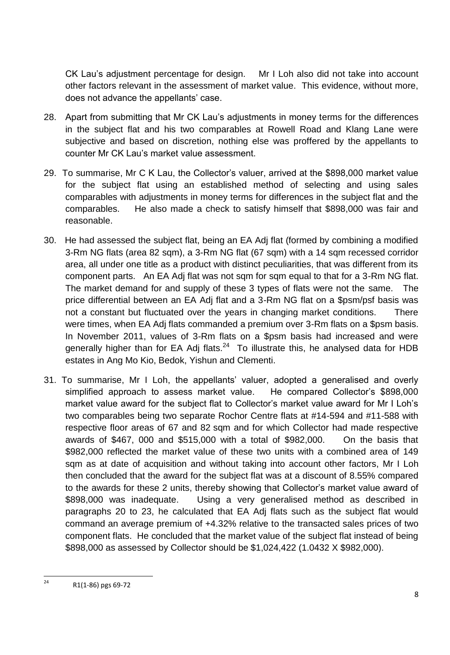CK Lau's adjustment percentage for design. Mr I Loh also did not take into account other factors relevant in the assessment of market value. This evidence, without more, does not advance the appellants' case.

- 28. Apart from submitting that Mr CK Lau's adjustments in money terms for the differences in the subject flat and his two comparables at Rowell Road and Klang Lane were subjective and based on discretion, nothing else was proffered by the appellants to counter Mr CK Lau's market value assessment.
- 29. To summarise, Mr C K Lau, the Collector's valuer, arrived at the \$898,000 market value for the subject flat using an established method of selecting and using sales comparables with adjustments in money terms for differences in the subject flat and the comparables. He also made a check to satisfy himself that \$898,000 was fair and reasonable.
- 30. He had assessed the subject flat, being an EA Adj flat (formed by combining a modified 3-Rm NG flats (area 82 sqm), a 3-Rm NG flat (67 sqm) with a 14 sqm recessed corridor area, all under one title as a product with distinct peculiarities, that was different from its component parts. An EA Adj flat was not sqm for sqm equal to that for a 3-Rm NG flat. The market demand for and supply of these 3 types of flats were not the same. The price differential between an EA Adj flat and a 3-Rm NG flat on a \$psm/psf basis was not a constant but fluctuated over the years in changing market conditions. There were times, when EA Adj flats commanded a premium over 3-Rm flats on a \$psm basis. In November 2011, values of 3-Rm flats on a \$psm basis had increased and were generally higher than for EA Adj flats. $^{24}$  To illustrate this, he analysed data for HDB estates in Ang Mo Kio, Bedok, Yishun and Clementi.
- 31. To summarise, Mr I Loh, the appellants' valuer, adopted a generalised and overly simplified approach to assess market value. He compared Collector's \$898,000 market value award for the subject flat to Collector's market value award for Mr I Loh's two comparables being two separate Rochor Centre flats at #14-594 and #11-588 with respective floor areas of 67 and 82 sqm and for which Collector had made respective awards of \$467, 000 and \$515,000 with a total of \$982,000. On the basis that \$982,000 reflected the market value of these two units with a combined area of 149 sqm as at date of acquisition and without taking into account other factors, Mr I Loh then concluded that the award for the subject flat was at a discount of 8.55% compared to the awards for these 2 units, thereby showing that Collector's market value award of \$898,000 was inadequate. Using a very generalised method as described in paragraphs 20 to 23, he calculated that EA Adj flats such as the subject flat would command an average premium of +4.32% relative to the transacted sales prices of two component flats. He concluded that the market value of the subject flat instead of being \$898,000 as assessed by Collector should be \$1,024,422 (1.0432 X \$982,000).

 $24$ R1(1-86) pgs 69-72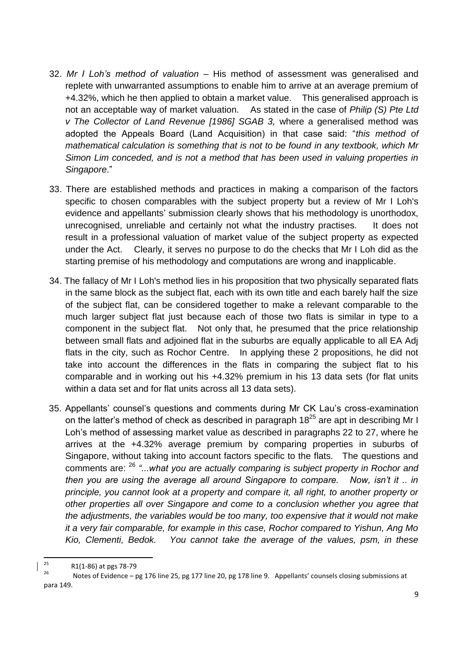- 32. *Mr I Loh's method of valuation* His method of assessment was generalised and replete with unwarranted assumptions to enable him to arrive at an average premium of +4.32%, which he then applied to obtain a market value. This generalised approach is not an acceptable way of market valuation. As stated in the case of *Philip (S) Pte Ltd v The Collector of Land Revenue [1986] SGAB 3,* where a generalised method was adopted the Appeals Board (Land Acquisition) in that case said: "*this method of mathematical calculation is something that is not to be found in any textbook, which Mr Simon Lim conceded, and is not a method that has been used in valuing properties in Singapore*."
- 33. There are established methods and practices in making a comparison of the factors specific to chosen comparables with the subject property but a review of Mr I Loh's evidence and appellants' submission clearly shows that his methodology is unorthodox, unrecognised, unreliable and certainly not what the industry practises. It does not result in a professional valuation of market value of the subject property as expected under the Act. Clearly, it serves no purpose to do the checks that Mr I Loh did as the starting premise of his methodology and computations are wrong and inapplicable.
- 34. The fallacy of Mr I Loh's method lies in his proposition that two physically separated flats in the same block as the subject flat, each with its own title and each barely half the size of the subject flat, can be considered together to make a relevant comparable to the much larger subject flat just because each of those two flats is similar in type to a component in the subject flat. Not only that, he presumed that the price relationship between small flats and adjoined flat in the suburbs are equally applicable to all EA Adj flats in the city, such as Rochor Centre. In applying these 2 propositions, he did not take into account the differences in the flats in comparing the subject flat to his comparable and in working out his +4.32% premium in his 13 data sets (for flat units within a data set and for flat units across all 13 data sets).
- 35. Appellants' counsel's questions and comments during Mr CK Lau's cross-examination on the latter's method of check as described in paragraph  $18^{25}$  are apt in describing Mr I Loh's method of assessing market value as described in paragraphs 22 to 27, where he arrives at the +4.32% average premium by comparing properties in suburbs of Singapore, without taking into account factors specific to the flats. The questions and comments are: <sup>26</sup> *"...what you are actually comparing is subject property in Rochor and then you are using the average all around Singapore to compare. Now, isn't it .. in principle, you cannot look at a property and compare it, all right, to another property or other properties all over Singapore and come to a conclusion whether you agree that the adjustments, the variables would be too many, too expensive that it would not make it a very fair comparable, for example in this case, Rochor compared to Yishun, Ang Mo Kio, Clementi, Bedok. You cannot take the average of the values, psm, in these*

<sup>25</sup>  $\frac{25}{26}$  R1(1-86) at pgs 78-79

<sup>26</sup> Notes of Evidence – pg 176 line 25, pg 177 line 20, pg 178 line 9. Appellants' counsels closing submissions at para 149.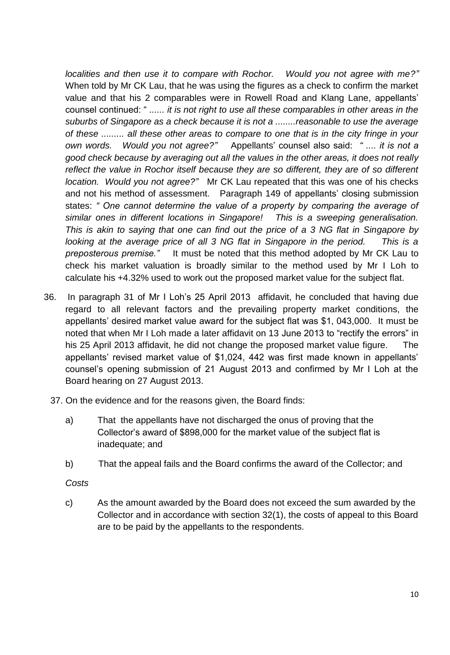*localities and then use it to compare with Rochor. Would you not agree with me?"* When told by Mr CK Lau, that he was using the figures as a check to confirm the market value and that his 2 comparables were in Rowell Road and Klang Lane, appellants' counsel continued: " *...... it is not right to use all these comparables in other areas in the suburbs of Singapore as a check because it is not a ........reasonable to use the average of these ......... all these other areas to compare to one that is in the city fringe in your own words. Would you not agree?"* Appellants' counsel also said: *" .... it is not a good check because by averaging out all the values in the other areas, it does not really reflect the value in Rochor itself because they are so different, they are of so different location. Would you not agree?"* Mr CK Lau repeated that this was one of his checks and not his method of assessment. Paragraph 149 of appellants' closing submission states: *" One cannot determine the value of a property by comparing the average of similar ones in different locations in Singapore! This is a sweeping generalisation. This is akin to saying that one can find out the price of a 3 NG flat in Singapore by looking at the average price of all 3 NG flat in Singapore in the period.* This is a *preposterous premise."* It must be noted that this method adopted by Mr CK Lau to check his market valuation is broadly similar to the method used by Mr I Loh to calculate his +4.32% used to work out the proposed market value for the subject flat.

- 36. In paragraph 31 of Mr I Loh's 25 April 2013 affidavit, he concluded that having due regard to all relevant factors and the prevailing property market conditions, the appellants' desired market value award for the subject flat was \$1, 043,000. It must be noted that when Mr I Loh made a later affidavit on 13 June 2013 to "rectify the errors" in his 25 April 2013 affidavit, he did not change the proposed market value figure. The appellants' revised market value of \$1,024, 442 was first made known in appellants' counsel's opening submission of 21 August 2013 and confirmed by Mr I Loh at the Board hearing on 27 August 2013.
	- 37. On the evidence and for the reasons given, the Board finds:
		- a) That the appellants have not discharged the onus of proving that the Collector's award of \$898,000 for the market value of the subject flat is inadequate; and
		- b) That the appeal fails and the Board confirms the award of the Collector; and

#### *Costs*

c) As the amount awarded by the Board does not exceed the sum awarded by the Collector and in accordance with section 32(1), the costs of appeal to this Board are to be paid by the appellants to the respondents.